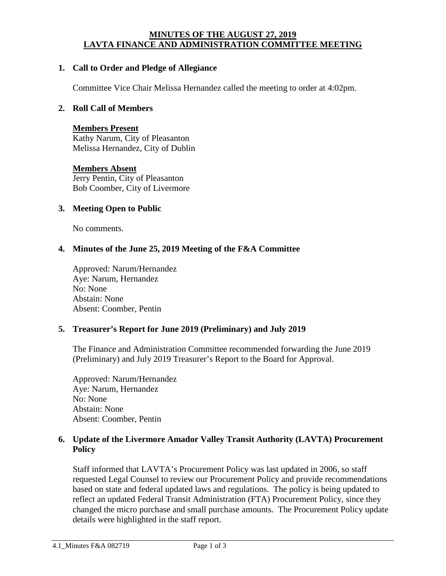#### **MINUTES OF THE AUGUST 27, 2019 LAVTA FINANCE AND ADMINISTRATION COMMITTEE MEETING**

## **1. Call to Order and Pledge of Allegiance**

Committee Vice Chair Melissa Hernandez called the meeting to order at 4:02pm.

### **2. Roll Call of Members**

#### **Members Present**

Kathy Narum, City of Pleasanton Melissa Hernandez, City of Dublin

## **Members Absent** Jerry Pentin, City of Pleasanton Bob Coomber, City of Livermore

#### **3. Meeting Open to Public**

No comments.

## **4. Minutes of the June 25, 2019 Meeting of the F&A Committee**

Approved: Narum/Hernandez Aye: Narum, Hernandez No: None Abstain: None Absent: Coomber, Pentin

#### **5. Treasurer's Report for June 2019 (Preliminary) and July 2019**

The Finance and Administration Committee recommended forwarding the June 2019 (Preliminary) and July 2019 Treasurer's Report to the Board for Approval.

Approved: Narum/Hernandez Aye: Narum, Hernandez No: None Abstain: None Absent: Coomber, Pentin

## **6. Update of the Livermore Amador Valley Transit Authority (LAVTA) Procurement Policy**

Staff informed that LAVTA's Procurement Policy was last updated in 2006, so staff requested Legal Counsel to review our Procurement Policy and provide recommendations based on state and federal updated laws and regulations. The policy is being updated to reflect an updated Federal Transit Administration (FTA) Procurement Policy, since they changed the micro purchase and small purchase amounts. The Procurement Policy update details were highlighted in the staff report.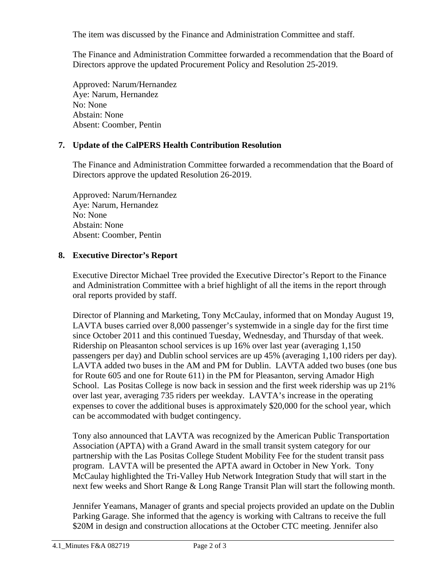The item was discussed by the Finance and Administration Committee and staff.

The Finance and Administration Committee forwarded a recommendation that the Board of Directors approve the updated Procurement Policy and Resolution 25-2019.

Approved: Narum/Hernandez Aye: Narum, Hernandez No: None Abstain: None Absent: Coomber, Pentin

# **7. Update of the CalPERS Health Contribution Resolution**

The Finance and Administration Committee forwarded a recommendation that the Board of Directors approve the updated Resolution 26-2019.

Approved: Narum/Hernandez Aye: Narum, Hernandez No: None Abstain: None Absent: Coomber, Pentin

# **8. Executive Director's Report**

Executive Director Michael Tree provided the Executive Director's Report to the Finance and Administration Committee with a brief highlight of all the items in the report through oral reports provided by staff.

Director of Planning and Marketing, Tony McCaulay, informed that on Monday August 19, LAVTA buses carried over 8,000 passenger's systemwide in a single day for the first time since October 2011 and this continued Tuesday, Wednesday, and Thursday of that week. Ridership on Pleasanton school services is up 16% over last year (averaging 1,150 passengers per day) and Dublin school services are up 45% (averaging 1,100 riders per day). LAVTA added two buses in the AM and PM for Dublin. LAVTA added two buses (one bus for Route 605 and one for Route 611) in the PM for Pleasanton, serving Amador High School. Las Positas College is now back in session and the first week ridership was up 21% over last year, averaging 735 riders per weekday. LAVTA's increase in the operating expenses to cover the additional buses is approximately \$20,000 for the school year, which can be accommodated with budget contingency.

Tony also announced that LAVTA was recognized by the American Public Transportation Association (APTA) with a Grand Award in the small transit system category for our partnership with the Las Positas College Student Mobility Fee for the student transit pass program. LAVTA will be presented the APTA award in October in New York. Tony McCaulay highlighted the Tri-Valley Hub Network Integration Study that will start in the next few weeks and Short Range & Long Range Transit Plan will start the following month.

Jennifer Yeamans, Manager of grants and special projects provided an update on the Dublin Parking Garage. She informed that the agency is working with Caltrans to receive the full \$20M in design and construction allocations at the October CTC meeting. Jennifer also